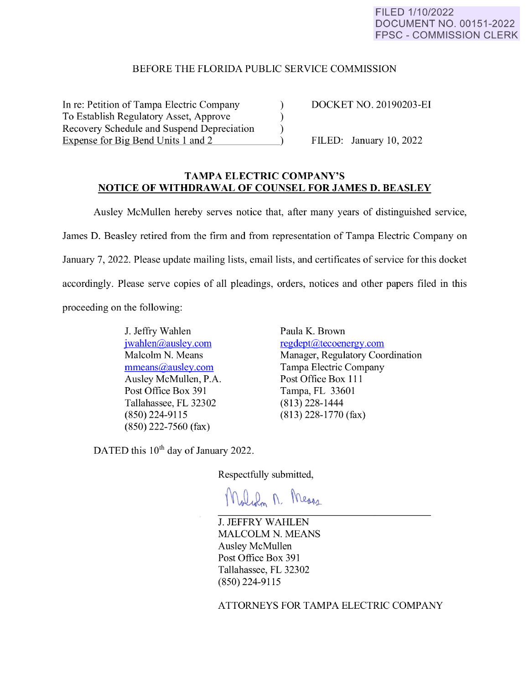## FILED 1/10/2022 DOCUMENT NO. 00151-2022 FPSC - COMMISSION CLERK

## BEFORE THE FLORIDA PUBLIC SERVICE COMMISSION

In re: Petition of Tampa Electric Company (a) DOCKET NO. 20190203-EI To Establish Regulatory Asset, Approve ) Recovery Schedule and Suspend Depreciation (a) Expense for Big Bend Units 1 and 2  $\qquad \qquad$  ) FILED: January 10, 2022

## **TAMPA ELECTRIC COMPANY'S NOTICE OF WITHDRAWAL OF COUNSEL FOR JAMES D. BEASLEY**

Ausley McMullen hereby serves notice that, after many years of distinguished service, James D. Beasley retired from the firm and from representation of Tampa Electric Company on January 7, 2022. Please update mailing lists, email lists, and certificates of service for this docket accordingly. Please serve copies of all pleadings, orders, notices and other papers filed in this proceeding on the following:

> J. Jeffry Wahlen [jwahlen@ausley.com](mailto:jwahlen@ausley.com)  Malcolm N. Means [mmeans@ausley.com](mailto:mmeans@ausley.com)  Ausley McMullen, P.A. Post Office Box 391 Tallahassee, FL 32302 (850) 224-9115 (850) 222-7560 (fax)

Paula K. Brown [regdept@tecoenergy.com](mailto:regdept@tecoenergy.com)  Manager, Regulatory Coordination Tampa Electric Company Post Office Box 111 Tampa, FL 33601 (813) 228-1444 (813) 228-1770 (fax)

DATED this 10<sup>th</sup> day of January 2022.

Respectfully submitted,

Walden M. Means

J. JEFFRY WAHLEN MALCOLM N. MEANS Ausley McMullen Post Office Box 391 Tallahassee, FL 32302 (850) 224-9115

ATTORNEYS FOR TAMPA ELECTRIC COMPANY